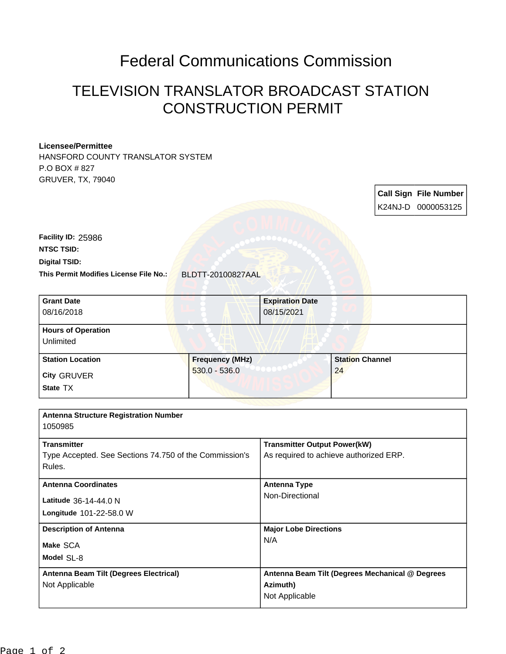## Federal Communications Commission

## TELEVISION TRANSLATOR BROADCAST STATION CONSTRUCTION PERMIT

## **Licensee/Permittee**

HANSFORD COUNTY TRANSLATOR SYSTEM P.O BOX # 827 GRUVER, TX, 79040

> **Call Sign File Number** K24NJ-D 0000053125

**This Permit Modifies License File No.:** BLDTT-20100827AAL **Digital TSID: NTSC TSID: Facility ID:** 25986

| <b>Grant Date</b>                            |                        | <b>Expiration Date</b> |                        |  |
|----------------------------------------------|------------------------|------------------------|------------------------|--|
| 08/16/2018                                   |                        | 08/15/2021             |                        |  |
|                                              |                        |                        |                        |  |
| <b>Hours of Operation</b>                    |                        |                        |                        |  |
| Unlimited                                    |                        |                        |                        |  |
| <b>Station Location</b>                      | <b>Frequency (MHz)</b> |                        | <b>Station Channel</b> |  |
| <b>City GRUVER</b>                           | $530.0 - 536.0$        |                        | 24                     |  |
| State TX                                     |                        |                        |                        |  |
|                                              |                        |                        |                        |  |
| <b>Antenna Structure Registration Number</b> |                        |                        |                        |  |
| 1050005                                      |                        |                        |                        |  |

| າບວບອວວ                                                |                                                 |  |
|--------------------------------------------------------|-------------------------------------------------|--|
| <b>Transmitter</b>                                     | <b>Transmitter Output Power(kW)</b>             |  |
| Type Accepted. See Sections 74.750 of the Commission's | As required to achieve authorized ERP.          |  |
| Rules.                                                 |                                                 |  |
| <b>Antenna Coordinates</b>                             | <b>Antenna Type</b>                             |  |
| Latitude 36-14-44.0 N                                  | Non-Directional                                 |  |
| Longitude 101-22-58.0 W                                |                                                 |  |
| <b>Description of Antenna</b>                          | <b>Major Lobe Directions</b><br>N/A             |  |
| Make SCA                                               |                                                 |  |
| Model SL-8                                             |                                                 |  |
| Antenna Beam Tilt (Degrees Electrical)                 | Antenna Beam Tilt (Degrees Mechanical @ Degrees |  |
| Not Applicable                                         | Azimuth)                                        |  |
|                                                        | Not Applicable                                  |  |